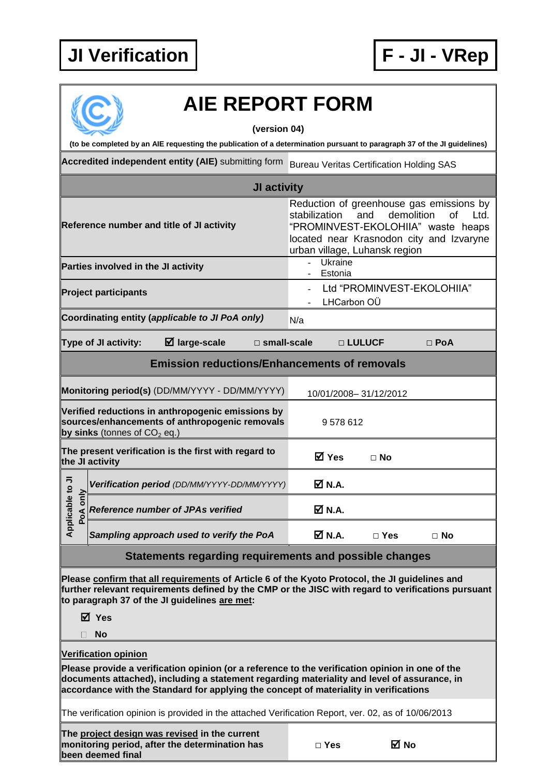## **JI Verification F - JI - VRep**



## **AIE REPORT FORM**

**(version 04)**

**(to be completed by an AIE requesting the publication of a determination pursuant to paragraph 37 of the JI guidelines)**

**Accredited independent entity (AIE)** submitting form Bureau Veritas Certification Holding SAS

| JI activity                                                                                                                                                                                                                                                                                                            |                                                                                                                                       |                                                                                                                                                                                                                        |               |            |  |  |  |  |  |
|------------------------------------------------------------------------------------------------------------------------------------------------------------------------------------------------------------------------------------------------------------------------------------------------------------------------|---------------------------------------------------------------------------------------------------------------------------------------|------------------------------------------------------------------------------------------------------------------------------------------------------------------------------------------------------------------------|---------------|------------|--|--|--|--|--|
|                                                                                                                                                                                                                                                                                                                        | Reference number and title of JI activity                                                                                             | Reduction of greenhouse gas emissions by<br>stabilization<br>and<br>demolition<br><b>of</b><br>Ltd.<br>"PROMINVEST-EKOLOHIIA" waste heaps<br>located near Krasnodon city and Izvaryne<br>urban village, Luhansk region |               |            |  |  |  |  |  |
|                                                                                                                                                                                                                                                                                                                        | Parties involved in the JI activity                                                                                                   | Ukraine<br>$\blacksquare$<br>Estonia                                                                                                                                                                                   |               |            |  |  |  |  |  |
|                                                                                                                                                                                                                                                                                                                        | <b>Project participants</b>                                                                                                           | Ltd "PROMINVEST-EKOLOHIIA"<br>LHCarbon OÜ                                                                                                                                                                              |               |            |  |  |  |  |  |
|                                                                                                                                                                                                                                                                                                                        | Coordinating entity (applicable to JI PoA only)                                                                                       | N/a                                                                                                                                                                                                                    |               |            |  |  |  |  |  |
|                                                                                                                                                                                                                                                                                                                        | Type of JI activity:<br>$\boxtimes$ large-scale<br>$\square$ small-scale                                                              |                                                                                                                                                                                                                        | □ LULUCF      | $\Box$ PoA |  |  |  |  |  |
| <b>Emission reductions/Enhancements of removals</b>                                                                                                                                                                                                                                                                    |                                                                                                                                       |                                                                                                                                                                                                                        |               |            |  |  |  |  |  |
|                                                                                                                                                                                                                                                                                                                        | Monitoring period(s) (DD/MM/YYYY - DD/MM/YYYY)                                                                                        | 10/01/2008-31/12/2012                                                                                                                                                                                                  |               |            |  |  |  |  |  |
|                                                                                                                                                                                                                                                                                                                        | Verified reductions in anthropogenic emissions by<br>sources/enhancements of anthropogenic removals<br>by sinks (tonnes of $CO2$ eq.) | 9578612                                                                                                                                                                                                                |               |            |  |  |  |  |  |
| The present verification is the first with regard to<br>the JI activity                                                                                                                                                                                                                                                |                                                                                                                                       | <b>⊠</b> Yes                                                                                                                                                                                                           | ⊟ No          |            |  |  |  |  |  |
| Applicable to JI<br>only<br>PoA                                                                                                                                                                                                                                                                                        | Verification period (DD/MM/YYYY-DD/MM/YYYY)                                                                                           | <b>Ø</b> N.A.                                                                                                                                                                                                          |               |            |  |  |  |  |  |
|                                                                                                                                                                                                                                                                                                                        | <b>Reference number of JPAs verified</b>                                                                                              | M N.A.                                                                                                                                                                                                                 |               |            |  |  |  |  |  |
|                                                                                                                                                                                                                                                                                                                        | Sampling approach used to verify the PoA                                                                                              | $\boxtimes$ N.A.                                                                                                                                                                                                       | $\square$ Yes | $\Box$ No  |  |  |  |  |  |
| Statements regarding requirements and possible changes                                                                                                                                                                                                                                                                 |                                                                                                                                       |                                                                                                                                                                                                                        |               |            |  |  |  |  |  |
| Please confirm that all requirements of Article 6 of the Kyoto Protocol, the JI guidelines and<br>further relevant requirements defined by the CMP or the JISC with regard to verifications pursuant<br>to paragraph 37 of the JI guidelines are met:                                                                  |                                                                                                                                       |                                                                                                                                                                                                                        |               |            |  |  |  |  |  |
|                                                                                                                                                                                                                                                                                                                        | ⊠ Yes                                                                                                                                 |                                                                                                                                                                                                                        |               |            |  |  |  |  |  |
| No                                                                                                                                                                                                                                                                                                                     |                                                                                                                                       |                                                                                                                                                                                                                        |               |            |  |  |  |  |  |
| <b>Verification opinion</b><br>Please provide a verification opinion (or a reference to the verification opinion in one of the<br>documents attached), including a statement regarding materiality and level of assurance, in<br>accordance with the Standard for applying the concept of materiality in verifications |                                                                                                                                       |                                                                                                                                                                                                                        |               |            |  |  |  |  |  |
| The verification opinion is provided in the attached Verification Report, ver. 02, as of 10/06/2013                                                                                                                                                                                                                    |                                                                                                                                       |                                                                                                                                                                                                                        |               |            |  |  |  |  |  |
|                                                                                                                                                                                                                                                                                                                        | The project design was revised in the current<br>monitoring period, after the determination has<br>been deemed final                  | $\square$ Yes                                                                                                                                                                                                          | M No          |            |  |  |  |  |  |